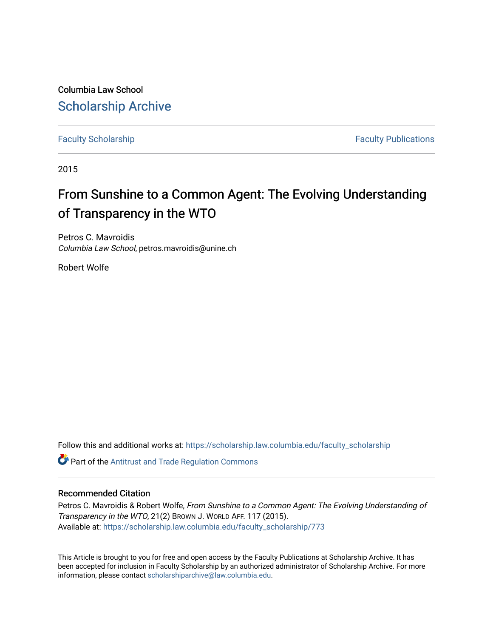Columbia Law School [Scholarship Archive](https://scholarship.law.columbia.edu/) 

[Faculty Scholarship](https://scholarship.law.columbia.edu/faculty_scholarship) **Faculty Scholarship Faculty Publications** 

2015

## From Sunshine to a Common Agent: The Evolving Understanding of Transparency in the WTO

Petros C. Mavroidis Columbia Law School, petros.mavroidis@unine.ch

Robert Wolfe

Follow this and additional works at: [https://scholarship.law.columbia.edu/faculty\\_scholarship](https://scholarship.law.columbia.edu/faculty_scholarship?utm_source=scholarship.law.columbia.edu%2Ffaculty_scholarship%2F773&utm_medium=PDF&utm_campaign=PDFCoverPages)

**Part of the Antitrust and Trade Regulation Commons** 

### Recommended Citation

Petros C. Mavroidis & Robert Wolfe, From Sunshine to a Common Agent: The Evolving Understanding of Transparency in the WTO, 21(2) BROWN J. WORLD AFF. 117 (2015). Available at: [https://scholarship.law.columbia.edu/faculty\\_scholarship/773](https://scholarship.law.columbia.edu/faculty_scholarship/773?utm_source=scholarship.law.columbia.edu%2Ffaculty_scholarship%2F773&utm_medium=PDF&utm_campaign=PDFCoverPages) 

This Article is brought to you for free and open access by the Faculty Publications at Scholarship Archive. It has been accepted for inclusion in Faculty Scholarship by an authorized administrator of Scholarship Archive. For more information, please contact [scholarshiparchive@law.columbia.edu.](mailto:scholarshiparchive@law.columbia.edu)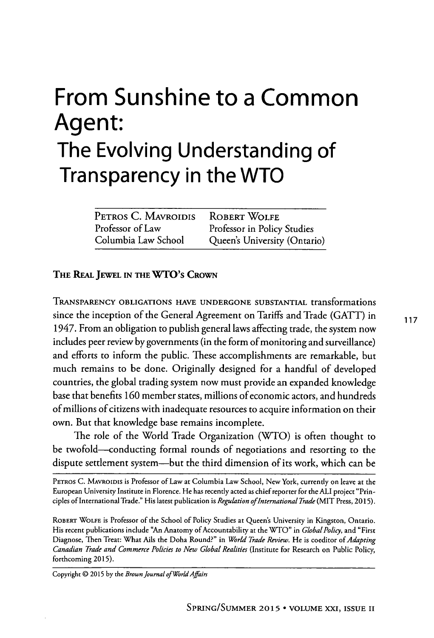# **From Sunshine to a Common Agent: The Evolving Understanding of Transparency in the WTO**

| PETROS C. MAVROIDIS | <b>ROBERT WOLFE</b>          |
|---------------------|------------------------------|
| Professor of Law    | Professor in Policy Studies  |
| Columbia Law School | Queen's University (Ontario) |

### THE **REAL JEWEL IN THE WTO's CROWN**

**TRANSPARENCY OBLIGATIONS HAVE UNDERGONE SUBSTANTIAL** transformations since the inception of the General Agreement on Tariffs and Trade **(GATT)** in **<sup>117</sup>** 1947. From an obligation to publish general laws affecting trade, the system now includes peer review **by** governments (in the form of monitoring and surveillance) and efforts to inform the public. These accomplishments are remarkable, but much remains to be done. Originally designed for a handful of developed countries, the global trading system now must provide an expanded knowledge base that benefits **160** member states, millions of economic actors, and hundreds of millions of citizens with inadequate resources to acquire information on their own. But that knowledge base remains incomplete.

The role of the World Trade Organization (WTO) is often thought to be twofold-conducting formal rounds of negotiations and resorting to the dispute settlement system-but the third dimension of its work, which can be

PETROS **C.** MAVROIDIS is Professor of Law at Columbia Law School, New York, currently on leave at the European University Institute in Florence. He has recently acted as chief reporter for the **ALI** project "Principles of International Trade." His latest publication is *Regulation ofInternational Trade* (MIT Press, **2015).**

ROBERT WOLFE is Professor of the School of Policy Studies at Queen's University in Kingston, Ontario. His recent publications include "An Anatomy of Accountability at the WTO" in *Global Policy,* and "First Diagnose, Then Treat: What Ails the Doha Round?" in *World Trade Review.* **He** is coeditor of *Adapring Canadian Trade and Commerce Policies to New Global Realities* (Institute for Research on Public Policy, forthcoming **2015).**

Copyright **@ 2015 by** the *Brown Journal of WorldAfairs*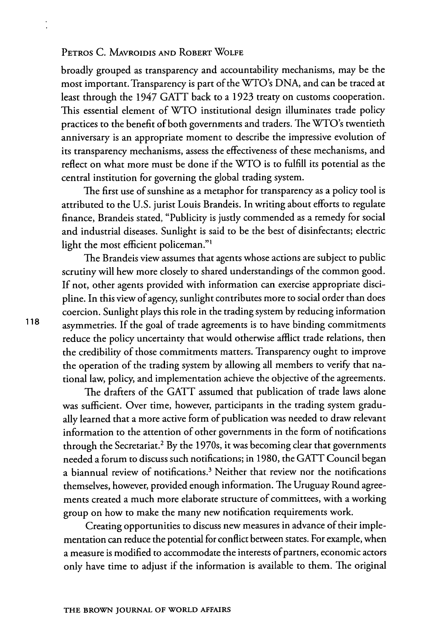broadly grouped as transparency and accountability mechanisms, may be the most important. Transparency is part of the WTO's **DNA,** and can be traced at least through the 1947 **GATT** back to a **1923** treaty on customs cooperation. This essential element of WTO institutional design illuminates trade policy practices to the benefit of both governments and traders. The WTO's twentieth anniversary is an appropriate moment to describe the impressive evolution of its transparency mechanisms, assess the effectiveness of these mechanisms, and reflect on what more must be done if the WTO is to fulfill its potential as the central institution for governing the global trading system.

The first use of sunshine as a metaphor for transparency as a policy tool is attributed to the **U.S.** jurist Louis Brandeis. In writing about efforts to regulate finance, Brandeis stated, "Publicity is justly commended as a remedy for social and industrial diseases. Sunlight is said to be the best of disinfectants; electric light the most efficient policeman."'

The Brandeis view assumes that agents whose actions are subject to public scrutiny will hew more closely to shared understandings of the common good. **If** not, other agents provided with information can exercise appropriate discipline. In this view of agency, sunlight contributes more to social order than does coercion. Sunlight plays this role in the trading system **by** reducing information **118** asymmetries. **If** the goal of trade agreements is to have binding commitments reduce the policy uncertainty that would otherwise afflict trade relations, then the credibility of those commitments matters. Transparency ought to improve the operation of the trading system **by** allowing all members to verify that national law, policy, and implementation achieve the objective of the agreements.

> The drafters of the **GATT** assumed that publication of trade laws alone was sufficient. Over time, however, participants in the trading system gradually learned that a more active form of publication was needed to draw relevant information to the attention of other governments in the form of notifications through the Secretariat.<sup>2</sup>**By** the 1970s, it was becoming clear that governments needed a forum to discuss such notifications; in **1980,** the **GATT** Council began a biannual review of notifications.<sup>3</sup> Neither that review nor the notifications themselves, however, provided enough information. The Uruguay Round agreements created a much more elaborate structure of committees, with a working group on how to make the many new notification requirements work.

> Creating opportunities to discuss new measures in advance of their implementation can reduce the potential for conflict between states. For example, when a measure is modified to accommodate the interests of partners, economic actors only have time to adjust if the information is available to them. The original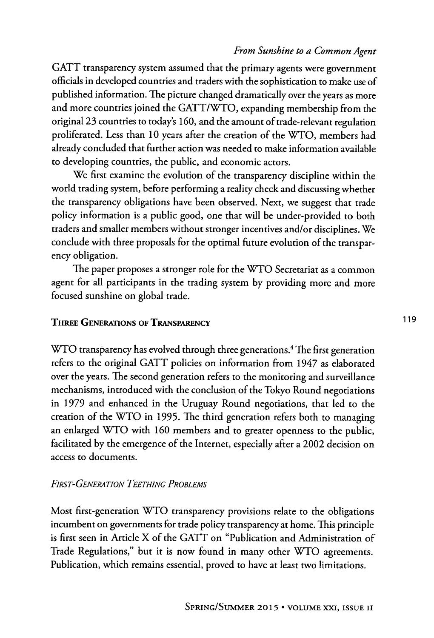**GATT** transparency system assumed that the primary agents were government officials in developed countries and traders with the sophistication to make use of published information. The picture changed dramatically over the years as more and more countries joined the GATT/WTO, expanding membership from the original **23** countries to today's **160,** and the amount of trade-relevant regulation proliferated. Less than **10** years after the creation of the WTO, members had already concluded that further action was needed to make information available to developing countries, the public, and economic actors.

We first examine the evolution of the transparency discipline within the world trading system, before performing a reality check and discussing whether the transparency obligations have been observed. Next, we suggest that trade policy information is a public good, one that will be under-provided to both traders and smaller members without stronger incentives and/or disciplines. We conclude with three proposals for the optimal future evolution of the transparency obligation.

The paper proposes a stronger role for the WTO Secretariat as a common agent for all participants in the trading system **by** providing more and more focused sunshine on global trade.

### **THREE GENERATIONS OF TRANSPARENCY** 119

WTO transparency has evolved through three generations.<sup>4</sup> The first generation refers to the original **GATT** policies on information from 1947 as elaborated over the years. The second generation refers to the monitoring and surveillance mechanisms, introduced with the conclusion of the Tokyo Round negotiations in **1979** and enhanced in the Uruguay Round negotiations, that led to the creation of the WTO in **1995.** The third generation refers both to managing an enlarged WTO with **160** members and to greater openness to the public, facilitated **by** the emergence of the Internet, especially after a 2002 decision on access to documents.

### *FIRST-GENERATION TEETHING PRoBLEMS*

Most first-generation WTO transparency provisions relate to the obligations incumbent on governments for trade policy transparency at home. This principle is first seen in Article X of the **GATT** on "Publication and Administration of Trade Regulations," but **it** is now found in many other WTO agreements. Publication, which remains essential, proved to have at least two limitations.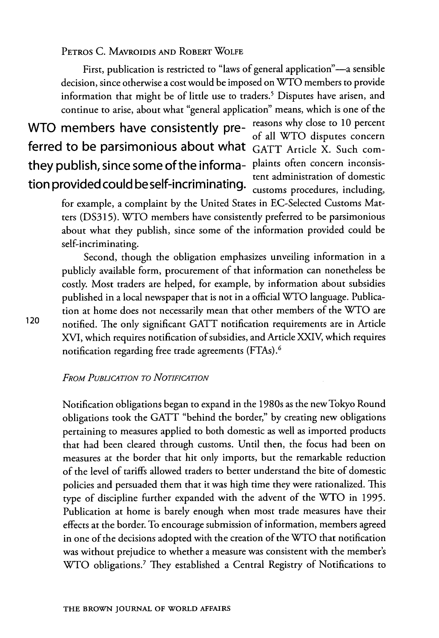First, publication is restricted to "laws of general application"-a sensible decision, since otherwise a cost would be imposed on WTO members to provide information that might be of little use to traders.' Disputes have arisen, and continue to arise, about what "general application" means, which is one of the

## WTO members have consistently pre-<br> $\frac{1}{2}$   $\frac{1}{2}$   $\frac{1}{2}$   $\frac{1}{2}$   $\frac{1}{2}$   $\frac{1}{2}$   $\frac{1}{2}$   $\frac{1}{2}$   $\frac{1}{2}$   $\frac{1}{2}$   $\frac{1}{2}$   $\frac{1}{2}$   $\frac{1}{2}$   $\frac{1}{2}$   $\frac{1}{2}$   $\frac{1}{2}$   $\frac{1}{2}$   $\frac{1}{2}$   $\frac{1}{2$ ferred to be parsimonious about what **GATT** Article X. Such comthey publish, since some of the informa- plaints often concern inconsis-<br>tent administration of domestic tion provided could be self-incriminating.

of all WTO disputes concern customs procedures, including,

for example, a complaint **by** the United States in EC-Selected Customs Matters **(DS315).** WTO members have consistently preferred to be parsimonious about what they publish, since some of the information provided could be self-incriminating.

Second, though the obligation emphasizes unveiling information in a publicly available form, procurement of that information can nonetheless be costly. Most traders are helped, for example, **by** information about subsidies published in a local newspaper that is not in a official WTO language. Publication at home does not necessarily mean that other members of the WTO are 120 notified. The only significant **GATT** notification requirements are in Article **XVI,** which requires notification of subsidies, and Article XXIV, which requires notification regarding free trade agreements (FTAs).<sup>6</sup>

### *FROM PUBLICATION TO NOTIFICATION*

Notification obligations began to expand in the 1980s as the new Tokyo Round obligations took the **GATT** "behind the border," **by** creating new obligations pertaining to measures applied to both domestic as well as imported products that had been cleared through customs. Until then, the focus had been on measures at the border that hit only imports, but the remarkable reduction of the level of tariffs allowed traders to better understand the bite of domestic policies and persuaded them that it was high time they were rationalized. This type of discipline further expanded with the advent of the WTO in **1995.** Publication at home is barely enough when most trade measures have their effects at the border. To encourage submission of information, members agreed in one of the decisions adopted with the creation of the WTO that notification was without prejudice to whether a measure was consistent with the member's WTO obligations.<sup>7</sup> They established a Central Registry of Notifications to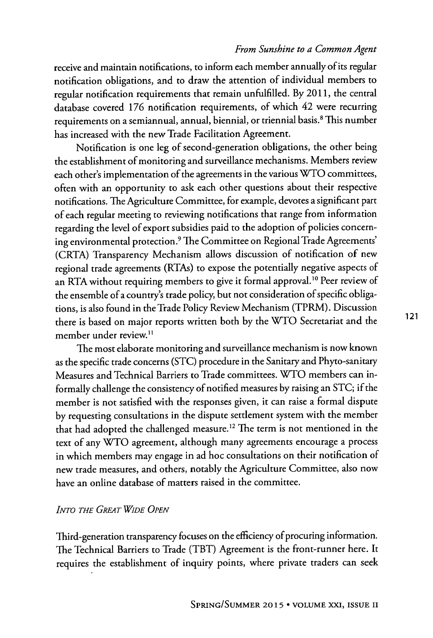receive and maintain notifications, to inform each member annually of its regular notification obligations, and to draw the attention of individual members to regular notification requirements that remain unfulfilled. **By 2011,** the central database covered **176** notification requirements, of which 42 were recurring requirements on a semiannual, annual, biennial, or triennial basis.<sup>8</sup> This number has increased with the new Trade Facilitation Agreement.

Notification is one leg of second-generation obligations, the other being the establishment of monitoring and surveillance mechanisms. Members review each other's implementation of the agreements in the various WTO committees, often with an opportunity to ask each other questions about their respective notifications. The Agriculture Committee, for example, devotes a significant part of each regular meeting to reviewing notifications that range from information regarding the level of export subsidies paid to the adoption of policies concerning environmental protection.9 The Committee on Regional Trade Agreements' (CRTA) Transparency Mechanism allows discussion of notification of new regional trade agreements (RTAs) to expose the potentially negative aspects of an RTA without requiring members to give **it** formal approval."o Peer review of the ensemble of a country's trade policy, but not consideration of specific obligations, is also found in the Trade Policy Review Mechanism (TPRM). Discussion there is based on major reports written both **by** the WTO Secretariat and the member under review.<sup>11</sup>

The most elaborate monitoring and surveillance mechanism is now known as the specific trade concerns **(STC)** procedure in the Sanitary and Phyto-sanitary Measures and Technical Barriers to Trade committees. WTO members can informally challenge the consistency of notified measures **by** raising an **STC;** if the member is not satisfied with the responses given, **it** can raise a formal dispute **by** requesting consultations in the dispute settlement system with the member that had adopted the challenged measure. 12 The term is not mentioned in the text of any WTO agreement, although many agreements encourage a process in which members may engage in ad hoc consultations on their notification of new trade measures, and others, notably the Agriculture Committee, also now have an online database of matters raised in the committee.

### *INTO THE GREAT WIDE OPEN*

Third-generation transparency focuses on the efficiency of procuring information. The Technical Barriers to Trade (TBT) Agreement is the front-runner here. It requires the establishment of inquiry points, where private traders can seek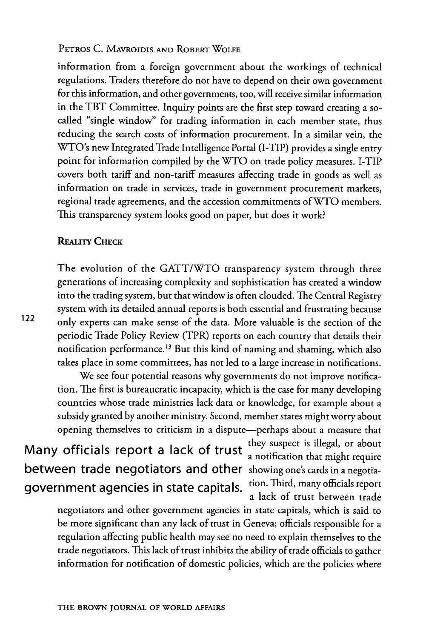information from a foreign government about the workings of technical regulations. Traders therefore do not have to depend on their own government for this information, and other governments, too, will receive similar information in the TBT Committee. Inquiry points are the first step toward creating a socalled "single window" for trading information in each member state, thus reducing the search costs of information procurement. In a similar vein, the WTO's new Integrated Trade Intelligence Portal (I-TIP) provides a single entry point for information compiled **by** the WTO on trade policy measures. I-TIP covers both tariff and non-tariff measures affecting trade in goods as well as information on trade in services, trade in government procurement markets, regional trade agreements, and the accession commitments of WTO members. This transparency system looks good on paper, but does it work?

### **REALITY CHECK**

The evolution of the GATT/WTO transparency system through three generations of increasing complexity and sophistication has created a window into the trading system, but that window is often clouded. The Central Registry system with its detailed annual reports is both essential and frustrating because 122 only experts can make sense of the data. More valuable is the section of the periodic Trade Policy Review (TPR) reports on each country that details their notification performance.<sup>13</sup> But this kind of naming and shaming, which also takes place in some committees, has not led to a large increase in notifications.

We see four potential reasons why governments do not improve notification. The first is bureaucratic incapacity, which is the case for many developing countries whose trade ministries lack data or knowledge, for example about a subsidy granted **by** another ministry. Second, member states might worry about opening themselves to criticism in a dispute-perhaps about a measure that

Many officials report a lack of trust they suspect is illegal, or about between trade negotiators and other showing one's cards in a negotiagovernment agencies in state capitals. tion. Third, many officials report

a notification that might require a lack of trust between trade

negotiators and other government agencies in state capitals, which is said to be more significant than any lack of trust in Geneva; officials responsible for a regulation affecting public health may **see** no need to explain themselves to the trade negotiators. This lack of trust inhibits the ability of trade officials to gather **information for** notification of domestic policies, which are the policies where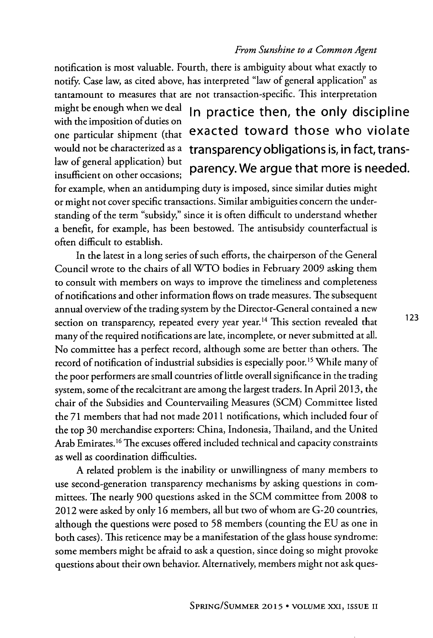notification is most valuable. Fourth, there is ambiguity about what exactly to notify. Case law, as cited above, has interpreted "law of general application" as tantamount to measures that are not transaction-specific. This interpretation

with the imposition of duties on law of general application) but

# might be enough when we deal In practice then, the only discipline one particular shipment (that exacted toward those who violate would not be characterized as a transparency obligations is, in fact, transiaw of general application, but parency. We argue that more is needed.

for example, when an antidumping duty is imposed, since similar duties might or might not cover specific transactions. Similar ambiguities concern the understanding of the term "subsidy," since **it** is often difficult to understand whether a benefit, for example, has been bestowed. The antisubsidy counterfactual is often difficult to establish.

In the latest in a long series of such efforts, the chairperson of the General Council wrote to the chairs of all **WTO** bodies in February **2009** asking them to consult with members on ways to improve the timeliness and completeness of notifications and other information flows on trade measures. The subsequent annual overview of the trading system **by** the Director-General contained a new section on transparency, repeated every year year.<sup>14</sup> This section revealed that many of the required notifications are late, incomplete, or never submitted at all. No committee has a perfect record, although some are better than others. The record of notification of industrial subsidies is especially poor.<sup>15</sup> While many of the poor performers are small countries of little overall significance in the trading system, some of the recalcitrant are among the largest traders. In April **2013,** the chair of the Subsidies and Countervailing Measures **(SCM)** Committee listed the **71** members that had not made 2011 notifications, which included four of the top **30** merchandise exporters: China, Indonesia, Thailand, and the United Arab Emirates.<sup>16</sup> The excuses offered included technical and capacity constraints as well as coordination difficulties.

**A** related problem is the inability or unwillingness of many members to use second-generation transparency mechanisms **by** asking questions in committees. The nearly **900** questions asked in the **SCM** committee from **2008** to 2012 were asked **by** only **16** members, all but two of whom are **G-20** countries, although the questions were posed to *58* members (counting the **EU** as one in both cases). This reticence may be a manifestation of the glass house syndrome: some members might be afraid to ask a question, since doing so might provoke questions about their own behavior. Alternatively, members might not ask ques123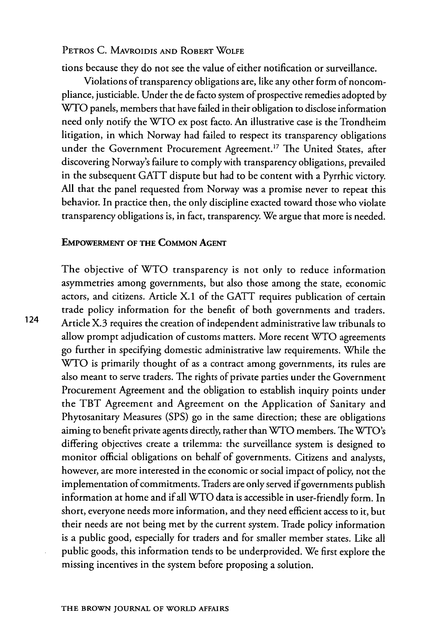tions because they do not see the value of either notification or surveillance.

Violations of transparency obligations are, like any other form of noncompliance, justiciable. Under the de facto system of prospective remedies adopted **by** WTO panels, members that have failed in their obligation to disclose information need only notify the WTO **ex** post facto. An illustrative **case** is the Trondheim litigation, in which Norway had failed to respect its transparency obligations under the Government Procurement Agreement.<sup>17</sup> The United States, after discovering Norway's failure to comply with transparency obligations, prevailed in the subsequent **GATT** dispute but had to be content with a Pyrrhic victory. **All** that the panel requested from Norway was a promise never to repeat this behavior. In practice then, the only discipline exacted toward those who violate transparency obligations is, in fact, transparency. We argue that more is needed.

#### EMPOWERMENT OF **THE COMMON AGENT**

The objective of WTO transparency is not only to reduce information asymmetries among governments, but also those among the state, economic actors, and citizens. Article X. **1** of the **GATT** requires publication of certain trade policy information for the benefit of both governments and traders. 124 Article X.3 requires the creation of independent administrative law tribunals to allow prompt adjudication of customs matters. More recent WTO agreements go further in specifying domestic administrative law requirements. While the WTO is primarily thought of as a contract among governments, its rules are also meant to serve traders. The rights of private parties under the Government Procurement Agreement and the obligation to establish inquiry points under the TBT Agreement and Agreement on the Application of Sanitary and Phytosanitary Measures **(SPS)** go in the same direction; these are obligations aiming to benefit private agents directly, rather than WTO members. The WTO's differing objectives create a trilemma: the surveillance system is designed to monitor official obligations on behalf of governments. Citizens and analysts, however, are more interested in the economic or social impact of policy, not the implementation of commitments. Traders are only served if governments publish information at home and if all WTO data is accessible in user-friendly form. In short, everyone needs more information, and they need efficient access to it, but their needs are not being met **by** the current system. Trade policy information is a public good, especially for traders and for smaller member states. Like all public goods, this information tends to be underprovided. We first explore the missing incentives in the system before proposing a solution.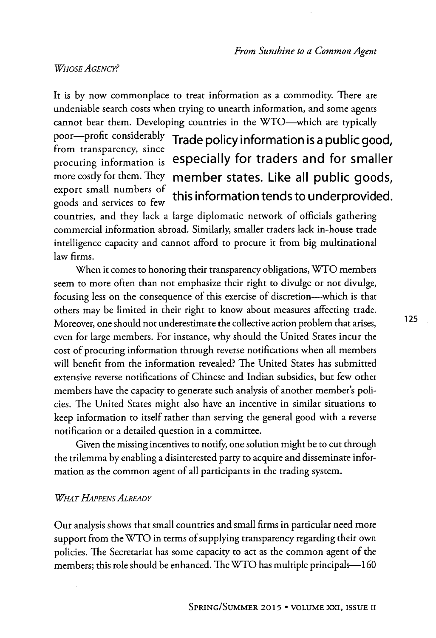### *WHOSE AGENCY?*

It is **by** now commonplace to treat information as a commodity. There are undeniable search costs when trying to unearth information, and some agents cannot bear them. Developing countries in the WTO-which are typically

from transparency, since goods and services to few

### poor-profit considerably Trade policy information is a public good, procuring information is especially for traders and for smaller more costly for them. They member states. Like all public goods, export small numbers of  $\mu$ ,  $\mu$ ,  $\mu$ this information tends to underprovided.

countries, and they lack a large diplomatic network of officials gathering commercial information abroad. Similarly, smaller traders lack in-house trade intelligence capacity and cannot afford to procure it from big multinational law firms.

When it comes to honoring their transparency obligations, WTO members seem to more often than not emphasize their right to divulge or not divulge, focusing less on the consequence of this exercise of discretion--which is that others may be limited in their right to know about measures affecting trade. Moreover, one should not underestimate the collective action problem that arises, even for large members. For instance, why should the United States incur the cost of procuring information through reverse notifications when all members will benefit from the information revealed? The United States has submitted extensive reverse notifications of Chinese and Indian subsidies, but few other members have the capacity to generate such analysis of another member's policies. The United States might also have an incentive in similar situations to keep information to itself rather than serving the general good with a reverse notification or a detailed question in a committee.

Given the missing incentives to notify, one solution might be to cut through the trilemma **by** enabling a disinterested party to acquire and disseminate information as the common agent of all participants in the trading system.

### *WHAT HAPPENS ALREADY*

Our analysis shows that small countries and small firms in particular need more support from the WTO in terms of supplying transparency regarding their own policies. The Secretariat has some capacity to act as the common agent of the members; this role should be enhanced. The WTO has multiple principals-160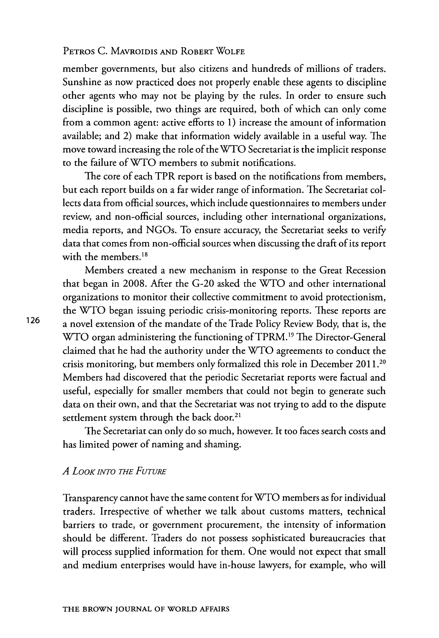member governments, but also citizens and hundreds of millions of traders. Sunshine as now practiced does not properly enable these agents to discipline other agents who may not be playing **by** the rules. In order to ensure such discipline is possible, two things are required, both of which can only come from a common agent: active efforts to **1)** increase the amount of information available; and 2) make that information widely available in a useful way. The move toward increasing the role of the WTO Secretariat is the implicit response to the failure of WTO members to submit notifications.

The core of each TPR report is based on the notifications from members, but each report builds on a far wider range of information. The Secretariat collects data from official sources, which include questionnaires to members under review, and non-official sources, including other international organizations, media reports, and NGOs. To ensure accuracy, the Secretariat seeks to verify data that comes from non-official sources when discussing the draft of its report with the members.<sup>18</sup>

Members created a new mechanism in response to the Great Recession that began in **2008.** After the **G-20** asked the **WTO** and other international organizations to monitor their collective commitment to avoid protectionism, the WTO began issuing periodic crisis-monitoring reports. These reports are **126** a novel extension of the mandate of the Trade Policy Review Body, that is, the WTO organ administering the functioning of TPRM.<sup>19</sup> The Director-General claimed that he had the authority under the WTO agreements to conduct the crisis monitoring, but members only formalized this role in December 2011 **<sup>20</sup>** Members had discovered that the periodic Secretariat reports were factual and useful, especially for smaller members that could not begin to generate such data on their own, and that the Secretariat was not trying to add to the dispute settlement system through the back door.<sup>21</sup>

The Secretariat can only do so much, however. It too faces search costs and has limited power of naming and shaming.

### *A LOOK INTO THE FUTURE*

Transparency cannot have the same content for WTO members as for individual traders. Irrespective of whether we talk about customs matters, technical barriers to trade, or government procurement, the intensity of information should be different. Traders do not possess sophisticated bureaucracies that will process supplied information for them. One would not expect that small and medium enterprises would have in-house lawyers, for example, who will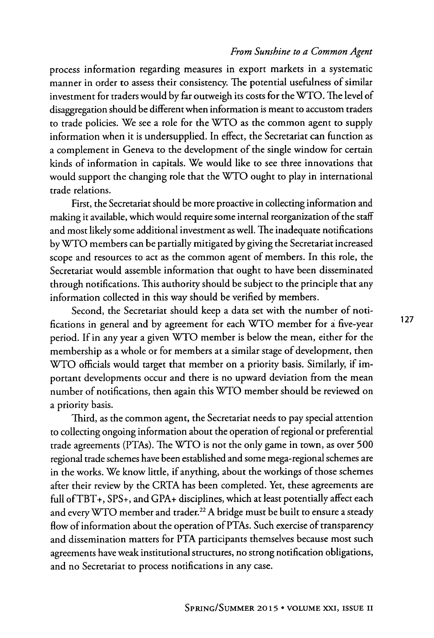process information regarding measures in export markets in a systematic manner in order to assess their consistency. The potential usefulness of similar investment for traders would **by** far outweigh its costs for the WTO. The level of disaggregation should be different when information is meant to accustom traders to trade policies. We see a role for the WTO as the common agent to supply information when it is undersupplied. In effect, the Secretariat can function as a complement in Geneva to the development of the single window for certain kinds of information in capitals. We would like to see three innovations that would support the changing role that the WTO ought to play in international trade relations.

First, the Secretariat should be more proactive in collecting information and making it available, which would require some internal reorganization of the staff and most likely some additional investment as well. The inadequate notifications **by** WTO members can be partially mitigated **by** giving the Secretariat increased scope and resources to act as the common agent of members. In this role, the Secretariat would assemble information that ought to have been disseminated through notifications. This authority should be subject to the principle that any information collected in this way should be verified **by** members.

Second, the Secretariat should keep a data set with the number of notifications in general and **by** agreement for each WTO member for a five-year **127** period. **If** in any year a given WTO member is below the mean, either for the membership as a whole or for members at a similar stage of development, then WTO officials would target that member on a priority basis. Similarly, if important developments occur and there is no upward deviation from the mean number of notifications, then again this WTO member should be reviewed on a priority basis.

Third, as the common agent, the Secretariat needs to pay special attention to collecting ongoing information about the operation of regional or preferential trade agreements (PTAs). The WTO is not the only game in town, as over **500** regional trade schemes have been established and some mega-regional schemes are in the works. We know little, if anything, about the workings of those schemes after their review **by** the CRTA has been completed. Yet, these agreements are full ofTBT+, **SPS+,** and **GPA+** disciplines, which at least potentially affect each and every WTO member and trader.<sup>22</sup> A bridge must be built to ensure a steady flow of information about the operation of PTAs. Such exercise of transparency and dissemination matters for PTA participants themselves because most such agreements have weak institutional structures, no strong notification obligations, and no Secretariat to process notifications in any case.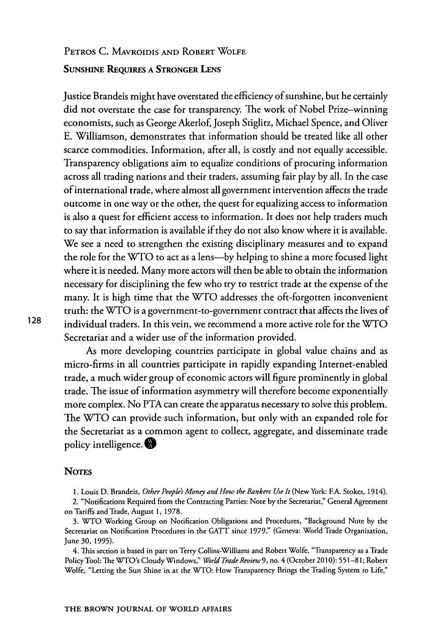### PETROS **C.** MAVROIDIS **AND** ROBERT WOLFE **SUNSHINE** REQUIRES **A** STRONGER LENS

Justice Brandeis might have overstated the efficiency of sunshine, but he certainly did not overstate the case for transparency. The work of Nobel Prize-winning economists, such as George Akerlof, Joseph Stiglitz, Michael Spence, and Oliver **E.** Williamson, demonstrates that information should be treated like all other scarce commodities. Information, after all, is costly and not equally accessible. Transparency obligations aim to equalize conditions of procuring information across all trading nations and their traders, assuming fair play **by** all. In the case of international trade, where almost all government intervention affects the trade outcome in one way or the other, the quest for equalizing access to information is also a quest for efficient access to information. It does not help traders much to say that information is available if they do not also know where it is available. We see a need to strengthen the existing disciplinary measures and to expand the role for the WTO to act as a lens-by helping to shine a more focused light where it is needed. Many more actors will then be able to obtain the information necessary for disciplining the few who try to restrict trade at the expense of the many. It is high time that the WTO addresses the oft-forgotten inconvenient truth: the WTO is a government-to-government contract that affects the lives of **128** individual traders. In this vein, we recommend a more active role for the WTO Secretariat and a wider use of the information provided.

> As more developing countries participate in global value chains and as micro-firms in all countries participate in rapidly expanding Internet-enabled trade, a much wider group of economic actors will figure prominently in global trade. The issue of information asymmetry will therefore become exponentially more complex. No PTA can create the apparatus necessary to solve this problem. The WTO can provide such information, but only with an expanded role for the Secretariat as a common agent to collect, aggregate, and disseminate trade policy intelligence. **0**

#### **NOTES**

**1.** Louis **D.** Brandeis, *Other People's Money and How the Bankers Use It* (New York: **F.A.** Stokes, 1914).

2. "Notifications Required from the Contracting Parties: Note **by** the Secretariat," General Agreement on Tariffs and Trade, August **1, 1978.**

**3.** WTO Working Group on Notification Obligations and Procedures, "Background Note **by** the Secretariat on Notification Procedures in the **GATT** since **1979,"** (Geneva: World Trade Organization, June **30, 1995).**

4. This section is based in part on Terry Collins-Williams and Robert Wolfe, "Transparency as a Trade PolicyTool: The WTO's Cloudy Windows," *World Trade Review* **9,** no. 4 (October 2010): **551-8 1;** Robert Wolfe, "Letting the Sun Shine in at the WTO: How Transparency Brings the Trading System to Life,"